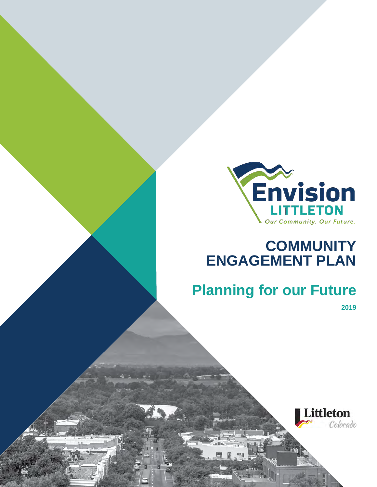

# **COMMUNITY ENGAGEMENT PLAN**

# **Planning for our Future**

**2019**

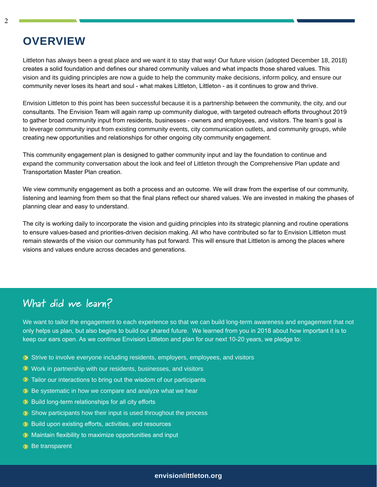### **OVERVIEW**

Littleton has always been a great place and we want it to stay that way! Our future vision (adopted December 18, 2018) creates a solid foundation and defines our shared community values and what impacts those shared values. This vision and its guiding principles are now a guide to help the community make decisions, inform policy, and ensure our community never loses its heart and soul - what makes Littleton, Littleton - as it continues to grow and thrive.

Envision Littleton to this point has been successful because it is a partnership between the community, the city, and our consultants. The Envision Team will again ramp up community dialogue, with targeted outreach efforts throughout 2019 to gather broad community input from residents, businesses - owners and employees, and visitors. The team's goal is to leverage community input from existing community events, city communication outlets, and community groups, while creating new opportunities and relationships for other ongoing city community engagement.

This community engagement plan is designed to gather community input and lay the foundation to continue and expand the community conversation about the look and feel of Littleton through the Comprehensive Plan update and Transportation Master Plan creation.

We view community engagement as both a process and an outcome. We will draw from the expertise of our community, listening and learning from them so that the final plans reflect our shared values. We are invested in making the phases of planning clear and easy to understand.

The city is working daily to incorporate the vision and guiding principles into its strategic planning and routine operations to ensure values-based and priorities-driven decision making. All who have contributed so far to Envision Littleton must remain stewards of the vision our community has put forward. This will ensure that Littleton is among the places where visions and values endure across decades and generations.

### **What did we learn?**

We want to tailor the engagement to each experience so that we can build long-term awareness and engagement that not only helps us plan, but also begins to build our shared future. We learned from you in 2018 about how important it is to keep our ears open. As we continue Envision Littleton and plan for our next 10-20 years, we pledge to:

- Strive to involve everyone including residents, employers, employees, and visitors
- **EX** Work in partnership with our residents, businesses, and visitors
- $\bullet$  Tailor our interactions to bring out the wisdom of our participants
- $\triangleright$  Be systematic in how we compare and analyze what we hear
- **Build long-term relationships for all city efforts**
- $\odot$  Show participants how their input is used throughout the process
- **D** Build upon existing efforts, activities, and resources
- **EX** Maintain flexibility to maximize opportunities and input
- $\rightarrow$  Be transparent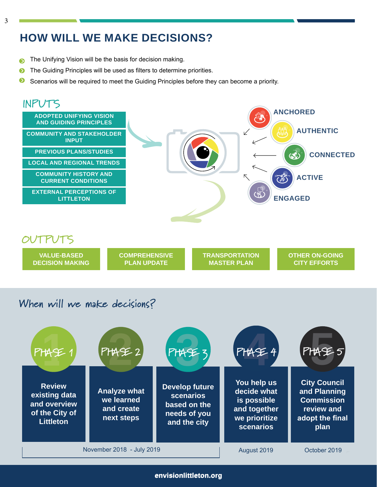### **HOW WILL WE MAKE DECISIONS?**

- The Unifying Vision will be the basis for decision making.  $\bullet$
- The Guiding Principles will be used as filters to determine priorities.  $\bullet$
- $\bullet$ Scenarios will be required to meet the Guiding Principles before they can become a priority.



### **When will we make decisions?**



**envisionlittleton.org envisionlittleton.org**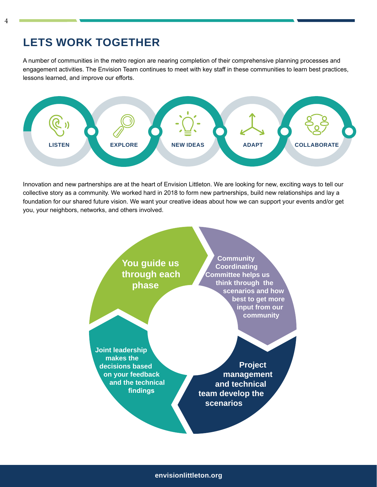### **LETS WORK TOGETHER**

A number of communities in the metro region are nearing completion of their comprehensive planning processes and engagement activities. The Envision Team continues to meet with key staff in these communities to learn best practices, lessons learned, and improve our efforts.



Innovation and new partnerships are at the heart of Envision Littleton. We are looking for new, exciting ways to tell our collective story as a community. We worked hard in 2018 to form new partnerships, build new relationships and lay a foundation for our shared future vision. We want your creative ideas about how we can support your events and/or get you, your neighbors, networks, and others involved.

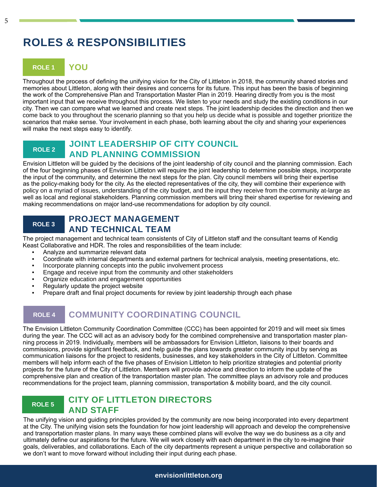### **ROLES & RESPONSIBILITIES**

### **ROLE 1 YOU**

Throughout the process of defining the unifying vision for the City of Littleton in 2018, the community shared stories and memories about Littleton, along with their desires and concerns for its future. This input has been the basis of beginning the work of the Comprehensive Plan and Transportation Master Plan in 2019. Hearing directly from you is the most important input that we receive throughout this process. We listen to your needs and study the existing conditions in our city. Then we can compare what we learned and create next steps. The joint leadership decides the direction and then we come back to you throughout the scenario planning so that you help us decide what is possible and together prioritize the scenarios that make sense. Your involvement in each phase, both learning about the city and sharing your experiences will make the next steps easy to identify.

#### **ROLE 2 JOINT LEADERSHIP OF CITY COUNCIL AND PLANNING COMMISSION**

Envision Littleton will be guided by the decisions of the joint leadership of city council and the planning commission. Each of the four beginning phases of Envision Littleton will require the joint leadership to determine possible steps, incorporate the input of the community, and determine the next steps for the plan. City council members will bring their expertise as the policy-making body for the city. As the elected representatives of the city, they will combine their experience with policy on a myriad of issues, understanding of the city budget, and the input they receive from the community at-large as well as local and regional stakeholders. Planning commission members will bring their shared expertise for reviewing and making recommendations on major land-use recommendations for adoption by city council.

#### **ROLE 3 PROJECT MANAGEMENT AND TECHNICAL TEAM**

The project management and technical team consistents of City of Littleton staff and the consultant teams of Kendig Keast Collaborative and HDR. The roles and responsibilities of the team include:

- Analyze and summarize relevant data
- Coordinate with internal departments and external partners for technical analysis, meeting presentations, etc.
- Incorporate planning concepts into the public involvement process
- Engage and receive input from the community and other stakeholders
- Organize education and engagement opportunities
- Regularly update the project website
- Prepare draft and final project documents for review by joint leadership through each phase

### **ROLE 4 COMMUNITY COORDINATING COUNCIL**

The Envision Littleton Community Coordination Committee (CCC) has been appointed for 2019 and will meet six times during the year. The CCC will act as an advisory body for the combined comprehensive and transportation master planning process in 2019. Individually, members will be ambassadors for Envision Littleton, liaisons to their boards and commissions, provide significant feedback, and help guide the plans towards greater community input by serving as communication liaisons for the project to residents, businesses, and key stakeholders in the City of Littleton. Committee members will help inform each of the five phases of Envision Littleton to help prioritize strategies and potential priority projects for the future of the City of Littleton. Members will provide advice and direction to inform the update of the comprehensive plan and creation of the transportation master plan. The committee plays an advisory role and produces recommendations for the project team, planning commission, transportation & mobility board, and the city council.

### **ROLE 5 CITY OF LITTLETON DIRECTORS AND STAFF**

The unifying vision and guiding principles provided by the community are now being incorporated into every department at the City. The unifying vision sets the foundation for how joint leadership will approach and develop the comprehensive and transportation master plans. In many ways these combined plans will evolve the way we do business as a city and ultimately define our aspirations for the future. We will work closely with each department in the city to re-imagine their goals, deliverables, and collaborations. Each of the city departments represent a unique perspective and collaboration so we don't want to move forward without including their input during each phase.

#### **envisionlittleton.org**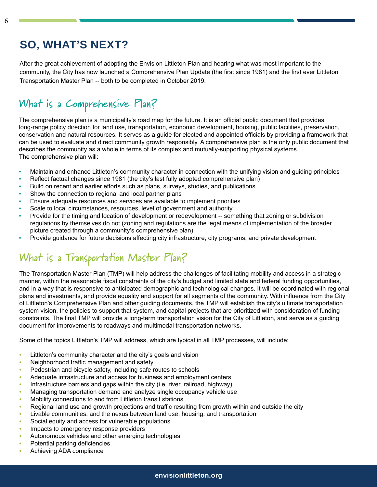### **SO, WHAT'S NEXT?**

After the great achievement of adopting the Envision Littleton Plan and hearing what was most important to the community, the City has now launched a Comprehensive Plan Update (the first since 1981) and the first ever Littleton Transportation Master Plan -- both to be completed in October 2019.

### **What is a Comprehensive Plan?**

The comprehensive plan is a municipality's road map for the future. It is an official public document that provides long-range policy direction for land use, transportation, economic development, housing, public facilities, preservation, conservation and natural resources. It serves as a guide for elected and appointed officials by providing a framework that can be used to evaluate and direct community growth responsibly. A comprehensive plan is the only public document that describes the community as a whole in terms of its complex and mutually-supporting physical systems. The comprehensive plan will:

- Maintain and enhance Littleton's community character in connection with the unifying vision and guiding principles
- Reflect factual changes since 1981 (the city's last fully adopted comprehensive plan)
- Build on recent and earlier efforts such as plans, surveys, studies, and publications
- Show the connection to regional and local partner plans
- Ensure adequate resources and services are available to implement priorities
- Scale to local circumstances, resources, level of government and authority
- Provide for the timing and location of development or redevelopment -- something that zoning or subdivision regulations by themselves do not (zoning and regulations are the legal means of implementation of the broader picture created through a community's comprehensive plan)
- Provide guidance for future decisions affecting city infrastructure, city programs, and private development

### **What is a Transportation Master Plan?**

The Transportation Master Plan (TMP) will help address the challenges of facilitating mobility and access in a strategic manner, within the reasonable fiscal constraints of the city's budget and limited state and federal funding opportunities, and in a way that is responsive to anticipated demographic and technological changes. It will be coordinated with regional plans and investments, and provide equality and support for all segments of the community. With influence from the City of Littleton's Comprehensive Plan and other guiding documents, the TMP will establish the city's ultimate transportation system vision, the policies to support that system, and capital projects that are prioritized with consideration of funding constraints. The final TMP will provide a long-term transportation vision for the City of Littleton, and serve as a guiding document for improvements to roadways and multimodal transportation networks.

Some of the topics Littleton's TMP will address, which are typical in all TMP processes, will include:

- Littleton's community character and the city's goals and vision
- Neighborhood traffic management and safety
- Pedestrian and bicycle safety, including safe routes to schools
- Adequate infrastructure and access for business and employment centers
- Infrastructure barriers and gaps within the city (i.e. river, railroad, highway)
- Managing transportation demand and analyze single occupancy vehicle use
- Mobility connections to and from Littleton transit stations
- Regional land use and growth projections and traffic resulting from growth within and outside the city
- Livable communities, and the nexus between land use, housing, and transportation
- Social equity and access for vulnerable populations
- Impacts to emergency response providers
- Autonomous vehicles and other emerging technologies
- Potential parking deficiencies
- Achieving ADA compliance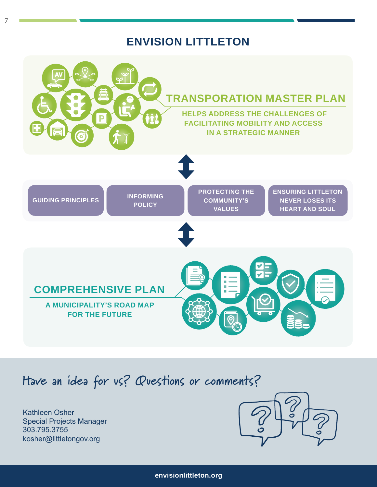### **ENVISION LITTLETON**



## **Have an idea for us? Questions or comments?**

Kathleen Osher Special Projects Manager 303.795.3755 kosher@littletongov.org